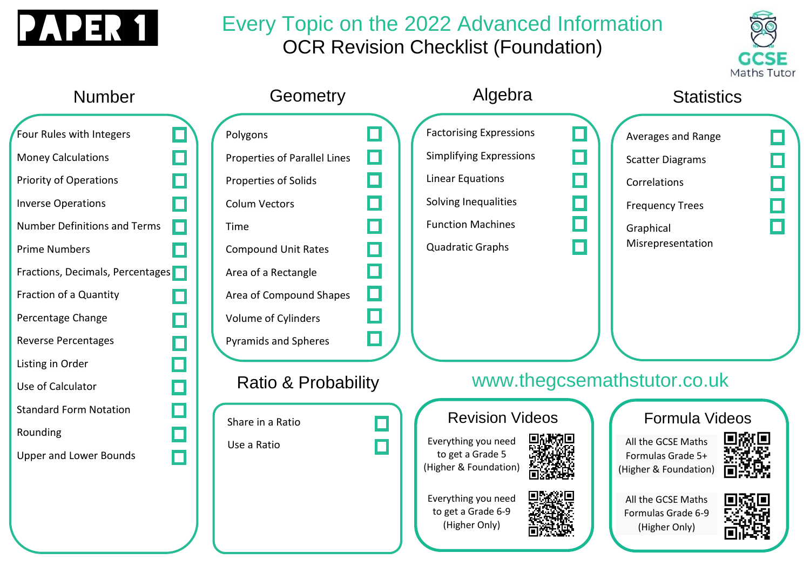

### Every Topic on the 2022 Advanced Information OCR Revision Checklist (Foundation)



### Algebra Number **Geometry Statistics** Factorising Expressions Four Rules with Integers П Polygons Г Averages and Range П Simplifying Expressions П Money Calculations Properties of Parallel Lines П П Scatter Diagrams П Linear Equations Priority of Operations П П Properties of Solids П Correlations П Solving Inequalities П Inverse Operations П Colum Vectors П Frequency Trees П П Function Machines П Number Definitions and Terms П Time П **Graphical** Misrepresentation П Quadratic Graphs Compound Unit Rates П Prime Numbers П П Fractions, Decimals, Percentages Area of a Rectangle О Fraction of a Quantity Area of Compound Shapes  $\Box$ Percentage Change Volume of Cylinders П  $\Box$ Reverse Percentages Pyramids and Spheres Listing in Order www.thegcsemathstutor.co.ukRatio & Probability Use of Calculator Standard Form Notation n Formula Videos Revision Videos Share in a Ratio Rounding П Everything you need All the GCSE Maths Use a Ratio to get a Grade 5 Upper and Lower Bounds Formulas Grade 5+ П (Higher & Foundation) (Higher & Foundation) Everything you need All the GCSE Maths to get a Grade 6-9 Formulas Grade 6-9 (Higher Only) (Higher Only)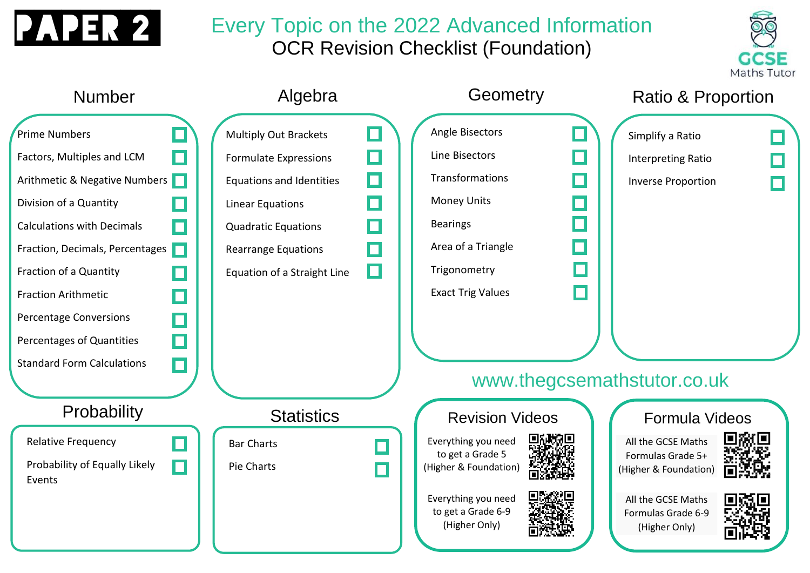

# Every Topic on the 2022 Advanced Information OCR Revision Checklist (Foundation)



| <b>Number</b>                                                                                                                                                                                                                                                                                                                             |                            | Algebra                                                                                                                                                                                                        |   | Geometry                                                                                                                                                               | <b>Ratio &amp; Proportion</b>                                                                                                                   |
|-------------------------------------------------------------------------------------------------------------------------------------------------------------------------------------------------------------------------------------------------------------------------------------------------------------------------------------------|----------------------------|----------------------------------------------------------------------------------------------------------------------------------------------------------------------------------------------------------------|---|------------------------------------------------------------------------------------------------------------------------------------------------------------------------|-------------------------------------------------------------------------------------------------------------------------------------------------|
| <b>Prime Numbers</b><br>Factors, Multiples and LCM<br>Arithmetic & Negative Numbers<br>Division of a Quantity<br><b>Calculations with Decimals</b><br>Fraction, Decimals, Percentages<br>Fraction of a Quantity<br><b>Fraction Arithmetic</b><br>Percentage Conversions<br>Percentages of Quantities<br><b>Standard Form Calculations</b> | П<br>П<br>n<br>П<br>$\Box$ | <b>Multiply Out Brackets</b><br><b>Formulate Expressions</b><br><b>Equations and Identities</b><br>Linear Equations<br><b>Quadratic Equations</b><br><b>Rearrange Equations</b><br>Equation of a Straight Line | О | <b>Angle Bisectors</b><br>Line Bisectors<br>Transformations<br><b>Money Units</b><br><b>Bearings</b><br>Area of a Triangle<br>Trigonometry<br><b>Exact Trig Values</b> | Simplify a Ratio<br><b>Interpreting Ratio</b><br><b>Inverse Proportion</b><br>www.thegcsemathstutor.co.uk                                       |
| Probability<br><b>Relative Frequency</b><br>Probability of Equally Likely<br>Events                                                                                                                                                                                                                                                       | $\Box$<br>П                | <b>Statistics</b><br><b>Bar Charts</b><br>Pie Charts                                                                                                                                                           | П | <b>Revision Videos</b><br>Everything you need<br>to get a Grade 5<br>(Higher & Foundation)<br>Everything you need<br>to get a Grade 6-9<br>(Higher Only)               | Formula Videos<br>All the GCSE Maths<br>Formulas Grade 5+<br>(Higher & Foundation)<br>All the GCSE Maths<br>Formulas Grade 6-9<br>(Higher Only) |